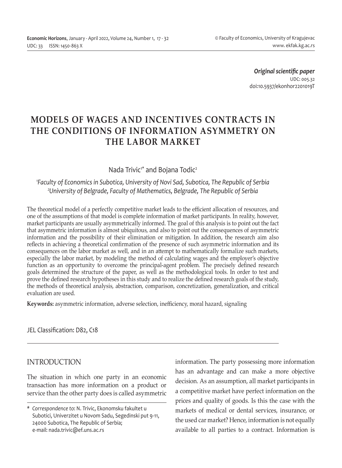*Original scientific paper* UDC: 005.32 doi:10.5937/ekonhor2201019T

# **MODELS OF WAGES AND INCENTIVES CONTRACTS IN THE CONDITIONS OF INFORMATION ASYMMETRY ON THE LABOR MARKET**

### Nada Trivic<sup>1\*</sup> and Bojana Todic<sup>2</sup>

### *1 Faculty of Economics in Subotica, University of Novi Sad, Subotica, The Republic of Serbia 2 University of Belgrade, Faculty of Mathematics, Belgrade, The Republic of Serbia*

The theoretical model of a perfectly competitive market leads to the efficient allocation of resources, and one of the assumptions of that model is complete information of market participants. In reality, however, market participants are usually asymmetrically informed. The goal of this analysis is to point out the fact that asymmetric information is almost ubiquitous, and also to point out the consequences of asymmetric information and the possibility of their elimination or mitigation. In addition, the research aim also reflects in achieving a theoretical confirmation of the presence of such asymmetric information and its consequences on the labor market as well, and in an attempt to mathematically formalize such markets, especially the labor market, by modeling the method of calculating wages and the employer's objective function as an opportunity to overcome the principal-agent problem. The precisely defined research goals determined the structure of the paper, as well as the methodological tools. In order to test and prove the defined research hypotheses in this study and to realize the defined research goals of the study, the methods of theoretical analysis, abstraction, comparison, concretization, generalization, and critical evaluation are used.

**Keywords:** asymmetric information, adverse selection, inefficiency, moral hazard, signaling

JEL Classification: D82, C18

### INTRODUCTION

The situation in which one party in an economic transaction has more information on a product or service than the other party does is called asymmetric information. The party possessing more information has an advantage and can make a more objective decision. As an assumption, all market participants in a competitive market have perfect information on the prices and quality of goods. Is this the case with the markets of medical or dental services, insurance, or the used car market? Hence, information is not equally available to all parties to a contract. Information is

*<sup>\*</sup> Correspondence to*: N. Trivic, Ekonomsku fakultet u Subotici, Univerzitet u Novom Sadu, Segedinski put 9-11, 24000 Subotica, The Republic of Serbia; e-mail: nada.trivic@ef.uns.ac.rs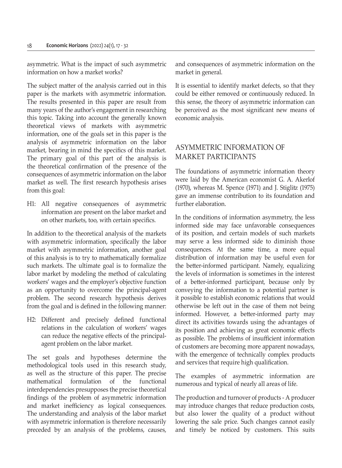asymmetric. What is the impact of such asymmetric information on how a market works?

The subject matter of the analysis carried out in this paper is the markets with asymmetric information. The results presented in this paper are result from many years of the author's engagement in researching this topic. Taking into account the generally known theoretical views of markets with asymmetric information, one of the goals set in this paper is the analysis of asymmetric information on the labor market, bearing in mind the specifics of this market. The primary goal of this part of the analysis is the theoretical confirmation of the presence of the consequences of asymmetric information on the labor market as well. The first research hypothesis arises from this goal:

H1: All negative consequences of asymmetric information are present on the labor market and on other markets, too, with certain specifics.

In addition to the theoretical analysis of the markets with asymmetric information, specifically the labor market with asymmetric information, another goal of this analysis is to try to mathematically formalize such markets. The ultimate goal is to formalize the labor market by modeling the method of calculating workers' wages and the employer's objective function as an opportunity to overcome the principal-agent problem. The second research hypothesis derives from the goal and is defined in the following manner:

H2: Different and precisely defined functional relations in the calculation of workers' wages can reduce the negative effects of the principalagent problem on the labor market.

The set goals and hypotheses determine the methodological tools used in this research study, as well as the structure of this paper. The precise mathematical formulation of the functional interdependencies presupposes the precise theoretical findings of the problem of asymmetric information and market inefficiency as logical consequences. The understanding and analysis of the labor market with asymmetric information is therefore necessarily preceded by an analysis of the problems, causes,

and consequences of asymmetric information on the market in general.

It is essential to identify market defects, so that they could be either removed or continuously reduced. In this sense, the theory of asymmetric information can be perceived as the most significant new means of economic analysis.

# ASYMMETRIC INFORMATION OF MARKET PARTICIPANTS

The foundations of asymmetric information theory were laid by the American economist G. A. Akerlof (1970), whereas M. Spence (1971) and J. Stiglitz (1975) gave an immense contribution to its foundation and further elaboration.

In the conditions of information asymmetry, the less informed side may face unfavorable consequences of its position, and certain models of such markets may serve a less informed side to diminish those consequences. At the same time, a more equal distribution of information may be useful even for the better-informed participant. Namely, equalizing the levels of information is sometimes in the interest of a better-informed participant, because only by conveying the information to a potential partner is it possible to establish economic relations that would otherwise be left out in the case of them not being informed. However, a better-informed party may direct its activities towards using the advantages of its position and achieving as great economic effects as possible. The problems of insufficient information of customers are becoming more apparent nowadays, with the emergence of technically complex products and services that require high qualification.

The examples of asymmetric information are numerous and typical of nearly all areas of life.

The production and turnover of products - A producer may introduce changes that reduce production costs, but also lower the quality of a product without lowering the sale price. Such changes cannot easily and timely be noticed by customers. This suits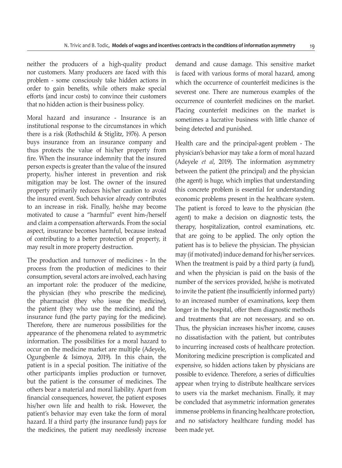neither the producers of a high-quality product nor customers. Many producers are faced with this problem - some consciously take hidden actions in order to gain benefits, while others make special efforts (and incur costs) to convince their customers that no hidden action is their business policy.

Moral hazard and insurance - Insurance is an institutional response to the circumstances in which there is a risk (Rothschild & Stiglitz, 1976). A person buys insurance from an insurance company and thus protects the value of his/her property from fire. When the insurance indemnity that the insured person expects is greater than the value of the insured property, his/her interest in prevention and risk mitigation may be lost. The owner of the insured property primarily reduces his/her caution to avoid the insured event. Such behavior already contributes to an increase in risk. Finally, he/she may become motivated to cause a "harmful" event him-/herself and claim a compensation afterwards. From the social aspect, insurance becomes harmful, because instead of contributing to a better protection of property, it may result in more property destruction.

The production and turnover of medicines - In the process from the production of medicines to their consumption, several actors are involved, each having an important role: the producer of the medicine, the physician (they who prescribe the medicine), the pharmacist (they who issue the medicine), the patient (they who use the medicine), and the insurance fund (the party paying for the medicine). Therefore, there are numerous possibilities for the appearance of the phenomena related to asymmetric information. The possibilities for a moral hazard to occur on the medicine market are multiple (Adeyele, Ogungbenle & Isimoya, 2019). In this chain, the patient is in a special position. The initiative of the other participants implies production or turnover, but the patient is the consumer of medicines. The others bear a material and moral liability. Apart from financial consequences, however, the patient exposes his/her own life and health to risk. However, the patient's behavior may even take the form of moral hazard. If a third party (the insurance fund) pays for the medicines, the patient may needlessly increase demand and cause damage. This sensitive market is faced with various forms of moral hazard, among which the occurrence of counterfeit medicines is the severest one. There are numerous examples of the occurrence of counterfeit medicines on the market. Placing counterfeit medicines on the market is sometimes a lucrative business with little chance of being detected and punished.

Health care and the principal-agent problem - The physician's behavior may take a form of moral hazard (Adeyele *et al*, 2019). The information asymmetry between the patient (the principal) and the physician (the agent) is huge, which implies that understanding this concrete problem is essential for understanding economic problems present in the healthcare system. The patient is forced to leave to the physician (the agent) to make a decision on diagnostic tests, the therapy, hospitalization, control examinations, etc. that are going to be applied. The only option the patient has is to believe the physician. The physician may (if motivated) induce demand for his/her services. When the treatment is paid by a third party (a fund), and when the physician is paid on the basis of the number of the services provided, he/she is motivated to invite the patient (the insufficiently informed party) to an increased number of examinations, keep them longer in the hospital, offer them diagnostic methods and treatments that are not necessary, and so on. Thus, the physician increases his/her income, causes no dissatisfaction with the patient, but contributes to incurring increased costs of healthcare protection. Monitoring medicine prescription is complicated and expensive, so hidden actions taken by physicians are possible to evidence. Therefore, a series of difficulties appear when trying to distribute healthcare services to users via the market mechanism. Finally, it may be concluded that asymmetric information generates immense problems in financing healthcare protection, and no satisfactory healthcare funding model has been made yet.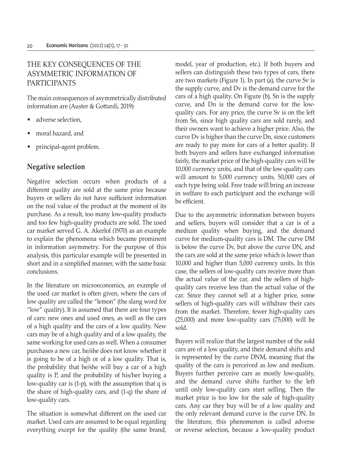# THE KEY CONSEQUENCES OF THE ASYMMETRIC INFORMATION OF PARTICIPANTS

The main consequences of asymmetrically distributed information are (Auster & Gottardi, 2019):

- adverse selection,
- moral hazard, and
- principal-agent problem.

# **Negative selection**

Negative selection occurs when products of a different quality are sold at the same price because buyers or sellers do not have sufficient information on the real value of the product at the moment of its purchase. As a result, too many low-quality products and too few high-quality products are sold. The used car market served G. A. Akerlof (1970) as an example to explain the phenomena which became prominent in information asymmetry. For the purpose of this analysis, this particular example will be presented in short and in a simplified manner, with the same basic conclusions.

In the literature on microeconomics, an example of the used car market is often given, where the cars of low quality are called the "lemon" (the slang word for "low" quality). It is assumed that there are four types of cars: new ones and used ones, as well as the cars of a high quality and the cars of a low quality. New cars may be of a high quality and of a low quality, the same working for used cars as well. When a consumer purchases a new car, he/she does not know whether it is going to be of a high or of a low quality. That is, the probability that he/she will buy a car of a high quality is P, and the probability of his/her buying a low-quality car is (1-p), with the assumption that q is the share of high-quality cars, and (1-q) the share of low-quality cars.

The situation is somewhat different on the used car market. Used cars are assumed to be equal regarding everything except for the quality (the same brand, model, year of production, etc.). If both buyers and sellers can distinguish these two types of cars, there are two markets (Figure 1). In part (a), the curve Sv is the supply curve, and Dv is the demand curve for the cars of a high quality. On Figure (b), Sn is the supply curve, and Dn is the demand curve for the lowquality cars. For any price, the curve Sv is on the left from Sn, since high quality cars are sold rarely, and their owners want to achieve a higher price. Also, the curve Dv is higher than the curve Dn, since customers are ready to pay more for cars of a better quality. If both buyers and sellers have exchanged information fairly, the market price of the high-quality cars will be 10,000 currency units, and that of the low-quality cars will amount to 5,000 currency units, 50,000 cars of each type being sold. Free trade will bring an increase in welfare to each participant and the exchange will be efficient.

Due to the asymmetric information between buyers and sellers, buyers will consider that a car is of a medium quality when buying, and the demand curve for medium-quality cars is DM. The curve DM is below the curve Dv, but above the curve DN, and the cars are sold at the same price which is lower than 10,000 and higher than 5,000 currency units. In this case, the sellers of low-quality cars receive more than the actual value of the car, and the sellers of highquality cars receive less than the actual value of the car. Since they cannot sell at a higher price, some sellers of high-quality cars will withdraw their cars from the market. Therefore, fewer high-quality cars (25,000) and more low-quality cars (75,000) will be sold.

Buyers will realize that the largest number of the sold cars are of a low quality, and their demand shifts and is represented by the curve DNM, meaning that the quality of the cars is perceived as low and medium. Buyers further perceive cars as mostly low-quality, and the demand curve shifts further to the left until only low-quality cars start selling. Then the market price is too low for the sale of high-quality cars. Any car they buy will be of a low quality and the only relevant demand curve is the curve DN. In the literature, this phenomenon is called adverse or reverse selection, because a low-quality product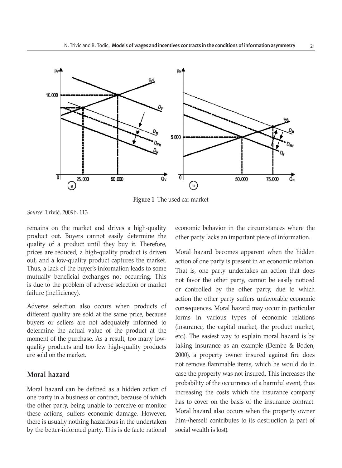

**Figure 1** The used car market

*Source*: Trivić, 2009b, 113

remains on the market and drives a high-quality product out. Buyers cannot easily determine the quality of a product until they buy it. Therefore, prices are reduced, a high-quality product is driven out, and a low-quality product captures the market. Thus, a lack of the buyer's information leads to some mutually beneficial exchanges not occurring. This is due to the problem of adverse selection or market failure (inefficiency).

Adverse selection also occurs when products of different quality are sold at the same price, because buyers or sellers are not adequately informed to determine the actual value of the product at the moment of the purchase. As a result, too many lowquality products and too few high-quality products are sold on the market.

### **Moral hazard**

Moral hazard can be defined as a hidden action of one party in a business or contract, because of which the other party, being unable to perceive or monitor these actions, suffers economic damage. However, there is usually nothing hazardous in the undertaken by the better-informed party. This is de facto rational economic behavior in the circumstances where the other party lacks an important piece of information.

Moral hazard becomes apparent when the hidden action of one party is present in an economic relation. That is, one party undertakes an action that does not favor the other party, cannot be easily noticed or controlled by the other party, due to which action the other party suffers unfavorable economic consequences. Moral hazard may occur in particular forms in various types of economic relations (insurance, the capital market, the product market, etc.). The easiest way to explain moral hazard is by taking insurance as an example (Dembe & Boden, 2000), a property owner insured against fire does not remove flammable items, which he would do in case the property was not insured. This increases the probability of the occurrence of a harmful event, thus increasing the costs which the insurance company has to cover on the basis of the insurance contract. Moral hazard also occurs when the property owner him-/herself contributes to its destruction (a part of social wealth is lost).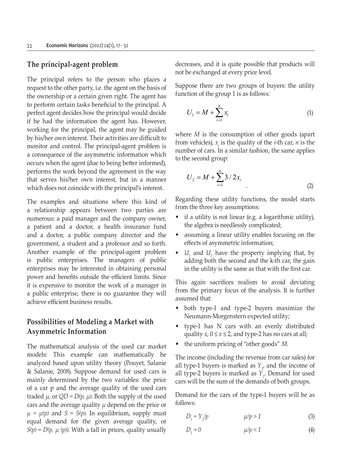#### **The principal-agent problem**

The principal refers to the person who places a request to the other party, i.e. the agent on the basis of the ownership or a certain given right. The agent has to perform certain tasks beneficial to the principal. A perfect agent decides how the principal would decide if he had the information the agent has. However, working for the principal, the agent may be guided by his/her own interest. Their activities are difficult to monitor and control. The principal-agent problem is a consequence of the asymmetric information which occurs when the agent (due to being better informed), performs the work beyond the agreement in the way that serves his/her own interest, but in a manner which does not coincide with the principal's interest.

The examples and situations where this kind of a relationship appears between two parties are numerous: a paid manager and the company owner, a patient and a doctor, a health insurance fund and a doctor, a public company director and the government, a student and a professor and so forth. Another example of the principal-agent problem is public enterprises. The managers of public enterprises may be interested in obtaining personal power and benefits outside the efficient limits. Since it is expensive to monitor the work of a manager in a public enterprise, there is no guarantee they will achieve efficient business results.

### **Possibilities of Modeling a Market with Asymmetric Information**

The mathematical analysis of the used car market models: This example can mathematically be analyzed based upon utility theory (Pouyet, Salanie & Salanie, 2008). Suppose demand for used cars is mainly determined by the two variables: the price of a car p and the average quality of the used cars traded  $\mu$ , or  $QD = D(p, \mu)$ . Both the supply of the used cars and the average quality *μ* depend on the price or  $\mu = \mu(p)$  and  $S = S(p)$ . In equilibrium, supply must equal demand for the given average quality, or  $S(p) = D(p, \mu (p))$ . With a fall in prices, quality usually decreases, and it is quite possible that products will not be exchanged at every price level.

Suppose there are two groups of buyers: the utility function of the group 1 is as follows:

$$
U_1 = M + \sum_{i=1}^{n} x_i
$$
 (1)

where *M* is the consumption of other goods (apart from vehicles),  $x_i$  is the quality of the *i*-th car, *n* is the number of cars. In a similar fashion, the same applies to the second group:

$$
U_2 = M + \sum_{i=1}^{n} 3 / 2x_i
$$
 (2)

Regarding these utility functions, the model starts from the three key assumptions:

- if a utility is not linear (e.g. a logarithmic utility), the algebra is needlessly complicated;
- assuming a linear utility enables focusing on the effects of asymmetric information;
- $U_1$  and  $U_2$  have the property implying that, by adding both the second and the k-th car, the gain in the utility is the same as that with the first car.

This again sacrifices realism to avoid deviating from the primary focus of the analysis. It is further assumed that:

- both type-1 and type-2 buyers maximize the Neumann-Morgenstern expected utility;
- type-1 has N cars with an evenly distributed quality  $x$ ,  $0 \le x \le 2$ , and type-2 has no cars at all;
- the uniform pricing of "other goods" *M*.

The income (including the revenue from car sales) for all type-1 buyers is marked as  $Y_{\mu}$  and the income of all type-2 buyers is marked as  $Y_2$ . Demand for used cars will be the sum of the demands of both groups.

Demand for the cars of the type-1 buyers will be as follows:

$$
D_1 = Y_1/p \qquad \qquad \mu/p > 1 \tag{3}
$$

$$
D_1 = 0 \qquad \qquad \mu/p < 1 \tag{4}
$$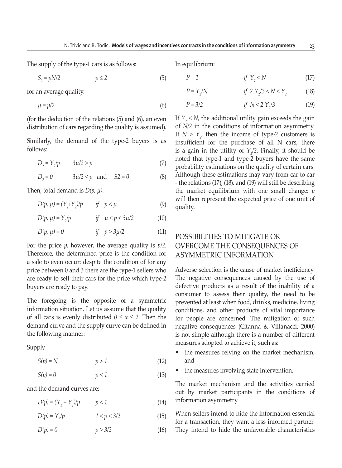The supply of the type-1 cars is as follows:

$$
S_2 = pN/2 \qquad \qquad p \le 2 \tag{5}
$$

for an average quality.

$$
\mu = p/2 \tag{6}
$$

(for the deduction of the relations (5) and (6), an even distribution of cars regarding the quality is assumed).

Similarly, the demand of the type-2 buyers is as follows:

$$
D_2 = Y_2/p \qquad 3\mu/2 > p \tag{7}
$$

$$
D_2 = 0 \t 3\mu/2 < p \text{ and } S2 = 0 \t (8)
$$

Then, total demand is *D(p, μ)*:

$$
D(p, \mu) = (Y_1 + Y_2)/p \qquad \text{if} \quad p < \mu \tag{9}
$$

$$
D(p, \mu) = Y_2/p \qquad \qquad \text{if} \quad \mu < p < 3\mu/2 \tag{10}
$$

$$
D(p, \mu) = 0 \qquad \qquad \text{if} \quad p > 3\mu/2 \tag{11}
$$

For the price *p*, however, the average quality is *p/2*. Therefore, the determined price is the condition for a sale to even occur: despite the condition of for any price between 0 and 3 there are the type-1 sellers who are ready to sell their cars for the price which type-2 buyers are ready to pay.

The foregoing is the opposite of a symmetric information situation. Let us assume that the quality of all cars is evenly distributed  $0 \le x \le 2$ . Then the demand curve and the supply curve can be defined in the following manner:

#### Supply

$$
S(p) = N \qquad \qquad p > 1 \tag{12}
$$

$$
S(p) = 0 \qquad \qquad p < 1 \tag{13}
$$

and the demand curves are:

$$
D(p) = (Y_1 + Y_2)/p \qquad p < 1 \tag{14}
$$

$$
D(p) = Y_2/p \qquad \qquad 1 < p < 3/2 \tag{15}
$$

$$
D(p) = 0 \qquad \qquad p > 3/2 \tag{16}
$$

In equilibrium:

$$
P = 1 \qquad \qquad \text{if } Y_{2} < N \tag{17}
$$

$$
P = Y_2/N \t\t \text{if } 2 \ Y_2/3 < N < Y_2 \t\t (18)
$$

$$
P = 3/2 \t\t \text{if } N < 2 \ Y_2/3 \t\t (19)
$$

If  $Y_2 \le N$ , the additional utility gain exceeds the gain of *N/2* in the conditions of information asymmetry. If  $N > Y_{2}$  then the income of type-2 customers is insufficient for the purchase of all N cars, there is a gain in the utility of  $Y_2/2$ . Finally, it should be noted that type-1 and type-2 buyers have the same probability estimations on the quality of certain cars. Although these estimations may vary from car to car - the relations (17), (18), and (19) will still be describing the market equilibrium with one small change: *p* will then represent the expected price of one unit of quality.

# POSSIBILITIES TO MITIGATE OR OVERCOME THE CONSEQUENCES OF ASYMMETRIC INFORMATION

Adverse selection is the cause of market inefficiency. The negative consequences caused by the use of defective products as a result of the inability of a consumer to assess their quality, the need to be prevented at least when food, drinks, medicine, living conditions, and other products of vital importance for people are concerned. The mitigation of such negative consequences (Citanna & Villanacci, 2000) is not simple although there is a number of different measures adopted to achieve it, such as:

- the measures relying on the market mechanism, and
- the measures involving state intervention.

The market mechanism and the activities carried out by market participants in the conditions of information asymmetry

When sellers intend to hide the information essential for a transaction, they want a less informed partner. They intend to hide the unfavorable characteristics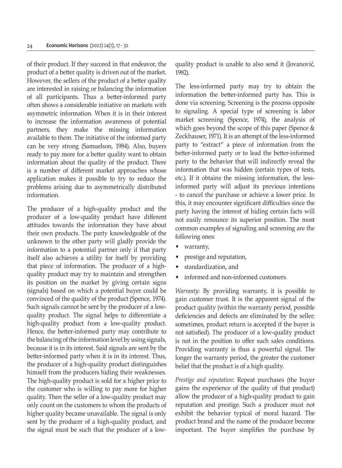of their product. If they succeed in that endeavor, the product of a better quality is driven out of the market. However, the sellers of the product of a better quality are interested in raising or balancing the information of all participants. Thus a better-informed party often shows a considerable initiative on markets with asymmetric information. When it is in their interest to increase the information awareness of potential partners, they make the missing information available to them. The initiative of the informed party can be very strong (Samuelson, 1984). Also, buyers ready to pay more for a better quality want to obtain information about the quality of the product. There is a number of different market approaches whose application makes it possible to try to reduce the problems arising due to asymmetrically distributed information.

The producer of a high-quality product and the producer of a low-quality product have different attitudes towards the information they have about their own products. The party knowledgeable of the unknown to the other party will gladly provide the information to a potential partner only if that party itself also achieves a utility for itself by providing that piece of information. The producer of a highquality product may try to maintain and strengthen its position on the market by giving certain signs (signals) based on which a potential buyer could be convinced of the quality of the product (Spence, 1974). Such signals cannot be sent by the producer of a lowquality product. The signal helps to differentiate a high-quality product from a low-quality product. Hence, the better-informed party may contribute to the balancing of the information level by using signals, because it is in its interest. Said signals are sent by the better-informed party when it is in its interest. Thus, the producer of a high-quality product distinguishes himself from the producers hiding their weaknesses. The high-quality product is sold for a higher price to the customer who is willing to pay more for higher quality. Then the seller of a low-quality product may only count on the customers to whom the products of higher quality became unavailable. The signal is only sent by the producer of a high-quality product, and the signal must be such that the producer of a lowquality product is unable to also send it (Jovanović, 1982).

The less-informed party may try to obtain the information the better-informed party has. This is done via screening. Screening is the process opposite to signaling. A special type of screening is labor market screening (Spence, 1974), the analysis of which goes beyond the scope of this paper (Spence & Zeckhauser, 1971). It is an attempt of the less-informed party to "extract" a piece of information from the better-informed party or to lead the better-informed party to the behavior that will indirectly reveal the information that was hidden (certain types of tests, etc.). If it obtains the missing information, the lessinformed party will adjust its previous intentions - to cancel the purchase or achieve a lower price. In this, it may encounter significant difficulties since the party having the interest of hiding certain facts will not easily renounce its superior position. The most common examples of signaling and screening are the following ones:

- warranty,
- prestige and reputation,
- standardization, and
- informed and non-informed customers.

*Warranty*: By providing warranty, it is possible to gain customer trust. It is the apparent signal of the product quality (within the warranty period, possible deficiencies and defects are eliminated by the seller; sometimes, product return is accepted if the buyer is not satisfied). The producer of a low-quality product is not in the position to offer such sales conditions. Providing warranty is thus a powerful signal. The longer the warranty period, the greater the customer belief that the product is of a high quality.

*Prestige and reputation:* Repeat purchases (the buyer gains the experience of the quality of that product) allow the producer of a high-quality product to gain reputation and prestige. Such a producer must not exhibit the behavior typical of moral hazard. The product brand and the name of the producer become important. The buyer simplifies the purchase by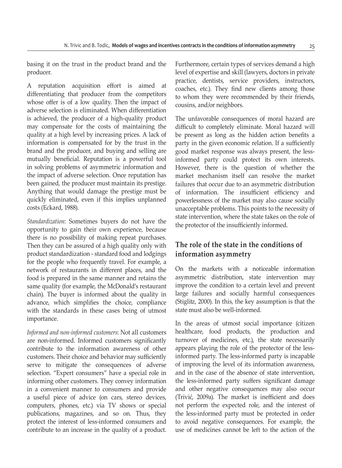basing it on the trust in the product brand and the producer.

A reputation acquisition effort is aimed at differentiating that producer from the competitors whose offer is of a low quality. Then the impact of adverse selection is eliminated. When differentiation is achieved, the producer of a high-quality product may compensate for the costs of maintaining the quality at a high level by increasing prices. A lack of information is compensated for by the trust in the brand and the producer, and buying and selling are mutually beneficial. Reputation is a powerful tool in solving problems of asymmetric information and the impact of adverse selection. Once reputation has been gained, the producer must maintain its prestige. Anything that would damage the prestige must be quickly eliminated, even if this implies unplanned costs (Eckard, 1988).

*Standardization*: Sometimes buyers do not have the opportunity to gain their own experience, because there is no possibility of making repeat purchases. Then they can be assured of a high quality only with product standardization - standard food and lodgings for the people who frequently travel. For example, a network of restaurants in different places, and the food is prepared in the same manner and retains the same quality (for example, the McDonald's restaurant chain). The buyer is informed about the quality in advance, which simplifies the choice, compliance with the standards in these cases being of utmost importance.

*Informed and non-informed customers*: Not all customers are non-informed. Informed customers significantly contribute to the information awareness of other customers. Their choice and behavior may sufficiently serve to mitigate the consequences of adverse selection. "Expert consumers" have a special role in informing other customers. They convey information in a convenient manner to consumers and provide a useful piece of advice (on cars, stereo devices, computers, phones, etc.) via TV shows or special publications, magazines, and so on. Thus, they protect the interest of less-informed consumers and contribute to an increase in the quality of a product. Furthermore, certain types of services demand a high level of expertise and skill (lawyers, doctors in private practice, dentists, service providers, instructors, coaches, etc.). They find new clients among those to whom they were recommended by their friends, cousins, and/or neighbors.

The unfavorable consequences of moral hazard are difficult to completely eliminate. Moral hazard will be present as long as the hidden action benefits a party in the given economic relation. If a sufficiently good market response was always present, the lessinformed party could protect its own interests. However, there is the question of whether the market mechanism itself can resolve the market failures that occur due to an asymmetric distribution of information. The insufficient efficiency and powerlessness of the market may also cause socially unacceptable problems. This points to the necessity of state intervention, where the state takes on the role of the protector of the insufficiently informed.

# **The role of the state in the conditions of information asymmetry**

On the markets with a noticeable information asymmetric distribution, state intervention may improve the condition to a certain level and prevent large failures and socially harmful consequences (Stiglitz, 2000). In this, the key assumption is that the state must also be well-informed.

In the areas of utmost social importance (citizen healthcare, food products, the production and turnover of medicines, etc.), the state necessarily appears playing the role of the protector of the lessinformed party. The less-informed party is incapable of improving the level of its information awareness, and in the case of the absence of state intervention, the less-informed party suffers significant damage and other negative consequences may also occur (Trivić, 2009a). The market is inefficient and does not perform the expected role, and the interest of the less-informed party must be protected in order to avoid negative consequences. For example, the use of medicines cannot be left to the action of the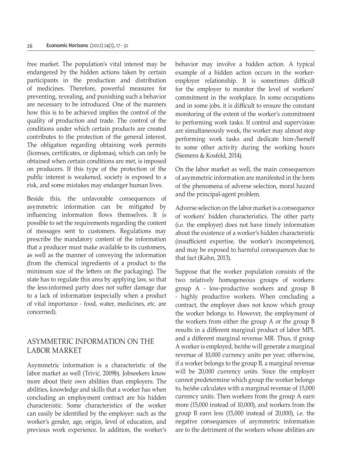free market. The population's vital interest may be endangered by the hidden actions taken by certain participants in the production and distribution of medicines. Therefore, powerful measures for preventing, revealing, and punishing such a behavior are necessary to be introduced. One of the manners how this is to be achieved implies the control of the quality of production and trade. The control of the conditions under which certain products are created contributes to the protection of the general interest. The obligation regarding obtaining work permits (licenses, certificates, or diplomas), which can only be obtained when certain conditions are met, is imposed on producers. If this type of the protection of the public interest is weakened, society is exposed to a risk, and some mistakes may endanger human lives.

Beside this, the unfavorable consequences of asymmetric information can be mitigated by influencing information flows themselves. It is possible to set the requirements regarding the content of messages sent to customers. Regulations may prescribe the mandatory content of the information that a producer must make available to its customers, as well as the manner of conveying the information (from the chemical ingredients of a product to the minimum size of the letters on the packaging). The state has to regulate this area by applying law, so that the less-informed party does not suffer damage due to a lack of information (especially when a product of vital importance - food, water, medicines, etc. are concerned).

### ASYMMETRIC INFORMATION ON THE LABOR MARKET

Asymmetric information is a characteristic of the labor market as well (Trivić, 2009b). Jobseekers know more about their own abilities than employers. The abilities, knowledge and skills that a worker has when concluding an employment contract are his hidden characteristic. Some characteristics of the worker can easily be identified by the employer: such as the worker's gender, age, origin, level of education, and previous work experience. In addition, the worker's behavior may involve a hidden action. A typical example of a hidden action occurs in the workeremployer relationship. It is sometimes difficult for the employer to monitor the level of workers' commitment in the workplace. In some occupations and in some jobs, it is difficult to ensure the constant monitoring of the extent of the worker's commitment to performing work tasks. If control and supervision are simultaneously weak, the worker may almost stop performing work tasks and dedicate him-/herself to some other activity during the working hours (Siemens & Kosfeld, 2014).

On the labor market as well, the main consequences of asymmetric information are manifested in the form of the phenomena of adverse selection, moral hazard and the principal-agent problem.

Adverse selection on the labor market is a consequence of workers' hidden characteristics. The other party (i.e. the employer) does not have timely information about the existence of a worker's hidden characteristic (insufficient expertise, the worker's incompetence), and may be exposed to harmful consequences due to that fact (Kahn, 2013).

Suppose that the worker population consists of the two relatively homogeneous groups of workers: group A - low-productive workers and group B - highly productive workers. When concluding a contract, the employer does not know which group the worker belongs to. However, the employment of the workers from either the group A or the group B results in a different marginal product of labor MPL and a different marginal revenue MR. Thus, if group A worker is employed, he/she will generate a marginal revenue of 10,000 currency units per year; otherwise, if a worker belongs to the group B, a marginal revenue will be 20,000 currency units. Since the employer cannot predetermine which group the worker belongs to, he/she calculates with a marginal revenue of 15,000 currency units. Then workers from the group A earn more (15,000 instead of 10,000), and workers from the group B earn less (15,000 instead of 20,000), i.e. the negative consequences of asymmetric information are to the detriment of the workers whose abilities are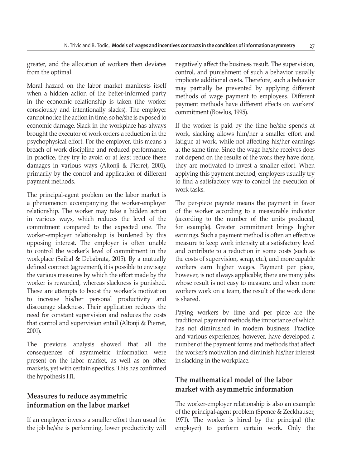greater, and the allocation of workers then deviates from the optimal.

Moral hazard on the labor market manifests itself when a hidden action of the better-informed party in the economic relationship is taken (the worker consciously and intentionally slacks). The employer cannot notice the action in time, so he/she is exposed to economic damage. Slack in the workplace has always brought the executor of work orders a reduction in the psychophysical effort. For the employer, this means a breach of work discipline and reduced performance. In practice, they try to avoid or at least reduce these damages in various ways (Altonji & Pierret, 2001), primarily by the control and application of different payment methods.

The principal-agent problem on the labor market is a phenomenon accompanying the worker-employer relationship. The worker may take a hidden action in various ways, which reduces the level of the commitment compared to the expected one. The worker-employer relationship is burdened by this opposing interest. The employer is often unable to control the worker's level of commitment in the workplace (Saibal & Debabrata, 2015). By a mutually defined contract (agreement), it is possible to envisage the various measures by which the effort made by the worker is rewarded, whereas slackness is punished. These are attempts to boost the worker's motivation to increase his/her personal productivity and discourage slackness. Their application reduces the need for constant supervision and reduces the costs that control and supervision entail (Altonji & Pierret, 2001).

The previous analysis showed that all the consequences of asymmetric information were present on the labor market, as well as on other markets, yet with certain specifics. This has confirmed the hypothesis H1.

# **Measures to reduce asymmetric information on the labor market**

If an employee invests a smaller effort than usual for the job he/she is performing, lower productivity will negatively affect the business result. The supervision, control, and punishment of such a behavior usually implicate additional costs. Therefore, such a behavior may partially be prevented by applying different methods of wage payment to employees. Different payment methods have different effects on workers' commitment (Bowlus, 1995).

If the worker is paid by the time he/she spends at work, slacking allows him/her a smaller effort and fatigue at work, while not affecting his/her earnings at the same time. Since the wage he/she receives does not depend on the results of the work they have done, they are motivated to invest a smaller effort. When applying this payment method, employers usually try to find a satisfactory way to control the execution of work tasks.

The per-piece payrate means the payment in favor of the worker according to a measurable indicator (according to the number of the units produced, for example). Greater commitment brings higher earnings. Such a payment method is often an effective measure to keep work intensity at a satisfactory level and contribute to a reduction in some costs (such as the costs of supervision, scrap, etc.), and more capable workers earn higher wages. Payment per piece, however, is not always applicable; there are many jobs whose result is not easy to measure, and when more workers work on a team, the result of the work done is shared.

Paying workers by time and per piece are the traditional payment methods the importance of which has not diminished in modern business. Practice and various experiences, however, have developed a number of the payment forms and methods that affect the worker's motivation and diminish his/her interest in slacking in the workplace.

# **The mathematical model of the labor market with asymmetric information**

The worker-employer relationship is also an example of the principal-agent problem (Spence & Zeckhauser, 1971). The worker is hired by the principal (the employer) to perform certain work. Only the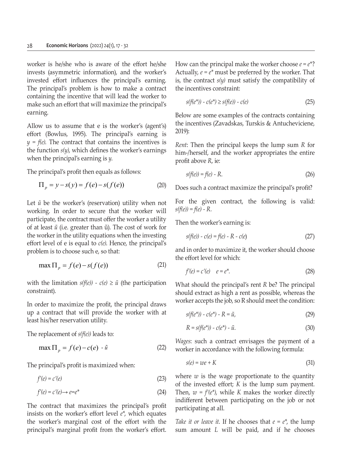worker is he/she who is aware of the effort he/she invests (asymmetric information), and the worker's invested effort influences the principal's earning. The principal's problem is how to make a contract containing the incentive that will lead the worker to make such an effort that will maximize the principal's earning.

Allow us to assume that e is the worker's (agent's) effort (Bowlus, 1995). The principal's earning is  $y = f(e)$ . The contract that contains the incentives is the function *s(y)*, which defines the worker's earnings when the principal's earning is *y*.

The principal's profit then equals as follows:

$$
\Pi_p = y - s(y) = f(e) - s(f(e))
$$
 (20)

Let  $\tilde{u}$  be the worker's (reservation) utility when not working. In order to secure that the worker will participate, the contract must offer the worker a utility of at least *ũ* (i.e. greater than ũ). The cost of work for the worker in the utility equations when the investing effort level of e is equal to *c(e)*. Hence, the principal's problem is to choose such e, so that:

$$
\max \Pi_p = f(e) - s(f(e)) \tag{21}
$$

with the limitation  $s(f(e)) - c(e) \geq \tilde{u}$  (the participation constraint).

In order to maximize the profit, the principal draws up a contract that will provide the worker with at least his/her reservation utility.

The replacement of *s(f(e))* leads to:

$$
\max \Pi_p = f(e) - c(e) - \tilde{u} \tag{22}
$$

The principal's profit is maximized when:

$$
f'(e) = c'(e) \tag{23}
$$

$$
f'(e) = c'(e) \rightarrow e = e^*
$$
\n(24)

The contract that maximizes the principal's profit insists on the worker's effort level *e\**, which equates the worker's marginal cost of the effort with the principal's marginal profit from the worker's effort. How can the principal make the worker choose  $e = e^*$ ? Actually,  $e = e^*$  must be preferred by the worker. That is, the contract  $s(y)$  must satisfy the compatibility of the incentives constraint:

$$
s(f(e^*)) - c(e^*) \ge s(f(e)) - c(e) \tag{25}
$$

Below are some examples of the contracts containing the incentives (Zavadskas, Turskis & Antucheviciene, 2019):

*Rent*: Then the principal keeps the lump sum *R* for him-/herself, and the worker appropriates the entire profit above *R*, ie:

$$
s(f(e)) = f(e) - R.
$$
 (26)

Does such a contract maximize the principal's profit?

For the given contract, the following is valid: *s(f(e)) = f(e) - R.*

Then the worker's earning is:

$$
s(f(e)) - c(e) = f(e) - R - c(e)
$$
 (27)

and in order to maximize it, the worker should choose the effort level for which:

$$
f'(e) = c'(e) \quad e = e^*.\tag{28}
$$

What should the principal's rent *R* be? The principal should extract as high a rent as possible, whereas the worker accepts the job, so R should meet the condition:

$$
s(f(e^*)) - c(e^*) - R = \tilde{u},\tag{29}
$$

$$
R = s(f(e^*)) - c(e^*) - \tilde{u}.
$$
\n(30)

*Wages*: such a contract envisages the payment of a worker in accordance with the following formula:

$$
s(e) = we + K \tag{31}
$$

where  $w$  is the wage proportionate to the quantity of the invested effort; *K* is the lump sum payment. Then,  $w = f'(e^*)$ , while *K* makes the worker directly indifferent between participating on the job or not participating at all.

*Take it or leave it.* If he chooses that  $e = e^*$ , the lump sum amount *L* will be paid, and if he chooses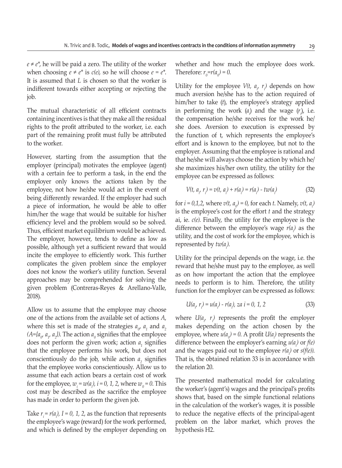$e \neq e^*$ , he will be paid a zero. The utility of the worker when choosing  $e \neq e^*$  is  $c(e)$ , so he will choose  $e = e^*$ . It is assumed that *L* is chosen so that the worker is indifferent towards either accepting or rejecting the job.

The mutual characteristic of all efficient contracts containing incentives is that they make all the residual rights to the profit attributed to the worker, i.e. each part of the remaining profit must fully be attributed to the worker.

However, starting from the assumption that the employer (principal) motivates the employee (agent) with a certain fee to perform a task, in the end the employer only knows the actions taken by the employee, not how he/she would act in the event of being differently rewarded. If the employer had such a piece of information, he would be able to offer him/her the wage that would be suitable for his/her efficiency level and the problem would so be solved. Thus, efficient market equilibrium would be achieved. The employer, however, tends to define as low as possible, although yet a sufficient reward that would incite the employee to efficiently work. This further complicates the given problem since the employer does not know the worker's utility function. Several approaches may be comprehended for solving the given problem (Contreras-Reyes & Arellano-Valle, 2018).

Allow us to assume that the employee may choose one of the actions from the available set of actions *A*, where this set is made of the strategies  $a_{\alpha}$ ,  $a_1$  and  $a_2$  $(A = \{a_{0}, a_{1}, a_{2}\})$ . The action  $a_{0}$  signifies that the employee does not perform the given work; action  $a<sub>1</sub>$  signifies that the employee performs his work, but does not conscientiously do the job, while action  $a_2$  signifies that the employee works conscientiously. Allow us to assume that each action bears a certain cost of work for the employee,  $w_i = w(a_i)$ ,  $i = 0, 1, 2$ , where  $w_0 = 0$ . This cost may be described as the sacrifice the employee has made in order to perform the given job.

Take  $r_i = r(a_i)$ , *I* = 0, *1*, *2*, as the function that represents the employee's wage (reward) for the work performed, and which is defined by the employer depending on

whether and how much the employee does work. Therefore:  $r_0 = r(a_0) = 0$ .

Utility for the employee  $V(t, a_{i}, r_{i})$  depends on how much aversion he/she has to the action required of him/her to take (*t*), the employee's strategy applied in performing the work  $(a<sub>i</sub>)$  and the wage  $(r<sub>i</sub>)$ , i.e. the compensation he/she receives for the work he/ she does. Aversion to execution is expressed by the function of t, which represents the employee's effort and is known to the employee, but not to the employer. Assuming that the employee is rational and that he/she will always choose the action by which he/ she maximizes his/her own utility, the utility for the employee can be expressed as follows:

$$
V(t, a_{i'} r_i) = v(t, a_{i'} + r(a_{i}) = r(a_{i'}) - tw(a_{i'})
$$
\n(32)

for  $i = 0,1,2$ , where  $v(t, a_{0}) = 0$ , for each *t*. Namely,  $v(t, a_{i})$ is the employee's cost for the effort *t* and the strategy ai, ie. *c(e)*. Finally, the utility for the employee is the difference between the employee's wage  $r(a_i)$  as the utility, and the cost of work for the employee, which is represented by *tw(ai )*.

Utility for the principal depends on the wage, i.e. the reward that he/she must pay to the employee, as well as on how important the action that the employee needs to perform is to him. Therefore, the utility function for the employer can be expressed as follows:

$$
U(a_{i'} r_{i}) = u(a_{i}) - r(a_{i'}) \text{ za } i = 0, 1, 2
$$
\n(33)

where  $U(a_i, r_i)$  represents the profit the employer makes depending on the action chosen by the employee, where  $u(a_o) = 0$ . A profit  $U(a_i)$  represents the difference between the employer's earning  $u(a_i)$  or  $f(e)$ and the wages paid out to the employee  $r(a_i)$  or  $s(f(e))$ . That is, the obtained relation 33 is in accordance with the relation 20.

The presented mathematical model for calculating the worker's (agent's) wages and the principal's profits shows that, based on the simple functional relations in the calculation of the worker's wages, it is possible to reduce the negative effects of the principal-agent problem on the labor market, which proves the hypothesis H2.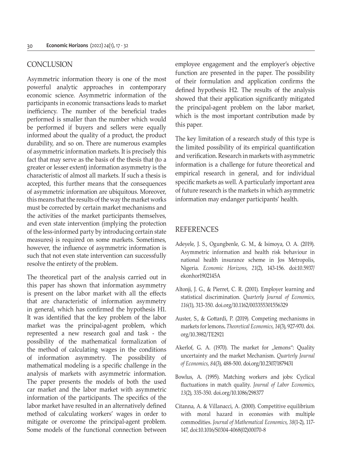#### **CONCLUSION**

Asymmetric information theory is one of the most powerful analytic approaches in contemporary economic science. Asymmetric information of the participants in economic transactions leads to market inefficiency. The number of the beneficial trades performed is smaller than the number which would be performed if buyers and sellers were equally informed about the quality of a product, the product durability, and so on. There are numerous examples of asymmetric information markets. It is precisely this fact that may serve as the basis of the thesis that (to a greater or lesser extent) information asymmetry is the characteristic of almost all markets. If such a thesis is accepted, this further means that the consequences of asymmetric information are ubiquitous. Moreover, this means that the results of the way the market works must be corrected by certain market mechanisms and the activities of the market participants themselves, and even state intervention (implying the protection of the less-informed party by introducing certain state measures) is required on some markets. Sometimes, however, the influence of asymmetric information is such that not even state intervention can successfully resolve the entirety of the problem.

The theoretical part of the analysis carried out in this paper has shown that information asymmetry is present on the labor market with all the effects that are characteristic of information asymmetry in general, which has confirmed the hypothesis H1. It was identified that the key problem of the labor market was the principal-agent problem, which represented a new research goal and task - the possibility of the mathematical formalization of the method of calculating wages in the conditions of information asymmetry. The possibility of mathematical modeling is a specific challenge in the analysis of markets with asymmetric information. The paper presents the models of both the used car market and the labor market with asymmetric information of the participants. The specifics of the labor market have resulted in an alternatively defined method of calculating workers' wages in order to mitigate or overcome the principal-agent problem. Some models of the functional connection between employee engagement and the employer's objective function are presented in the paper. The possibility of their formulation and application confirms the defined hypothesis H2. The results of the analysis showed that their application significantly mitigated the principal-agent problem on the labor market, which is the most important contribution made by this paper.

The key limitation of a research study of this type is the limited possibility of its empirical quantification and verification. Research in markets with asymmetric information is a challenge for future theoretical and empirical research in general, and for individual specific markets as well. A particularly important area of future research is the markets in which asymmetric information may endanger participants' health.

#### REFERENCES

- Adeyele, J. S., Ogungbenle, G. M., & Isimoya, O. A. (2019). Asymmetric information and health risk behaviour in national health insurance scheme in Jos Metropolis, Nigeria. *Economic Horizons*, *21*(2), 143-156. doi:10.5937/ ekonhor1902145A
- Altonji, J. G., & Pierret, C. R. (2001). Employer learning and statistical discrimination. *Quarterly Journal of Economics*, *116*(1), 313-350. doi.org/10.1162/003355301556329
- Auster, S., & Gottardi, P. (2019). Competing mechanisms in markets for lemons**.** *Theoretical Economics*, *14*(3), 927-970. doi. org/10.3982/TE2921
- Akerlof, G. A. (1970). The market for "lemons": Quality uncertainty and the market Mechanism. *Quarterly Journal of Economics*, *84*(3), 488-500. doi.org/10.2307/1879431
- Bowlus, A. (1995). Matching workers and jobs: Cyclical fluctuations in match quality. *Journal of Labor Economics*, *13*(2), 335-350. doi.org/10.1086/298377
- Citanna, A. & Villanacci, A. (2000). Competitive equilibrium with moral hazard in economies with multiple commodities. *Journal of Mathematical Economics*, *38*(1-2), 117- 147, doi:10.1016/S0304-4068(02)00070-8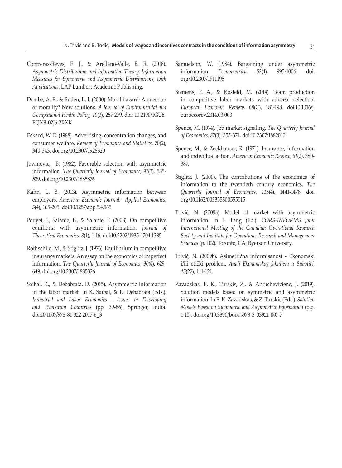- Contreras-Reyes, E. J., & Arellano-Valle, B. R. (2018)*. Asymmetric Distributions and Information Theory: Information Measures for Symmetric and Asymmetric Distributions, with Applications*. LAP Lambert Academic Publishing.
- Dembe, A. E., & Boden, L. I. (2000). Moral hazard: A question of morality? New solutions. *A Journal of Environmental and Occupational Health Policy*, *10*(3), 257-279. doi: 10.2190/1GU8- EQN8-02J6-2RXK
- Eckard, W. E. (1988). Advertising, concentration changes, and consumer welfare. *Review of Economics and Statistics*, 70(2), 340-343. doi.org/10.2307/1928320
- Jovanovic, B. (1982). Favorable selection with asymmetric information. *The Quarterly Journal of Economics*, *97*(3), 535- 539. doi.org/10.2307/1885876
- Kahn, L. B. (2013). Asymmetric information between employers. *American Economic Journal: Applied Economics*, *5*(4), 165-205. doi:10.1257/app.5.4.165
- Pouyet, J., Salanie, B., & Salanie, F. (2008). On competitive equilibria with asymmetric information. *Journal of Theoretical Economics*, *8*(1), 1-16. doi:10.2202/1935-1704.1385
- Rothschild, M., & Stiglitz, J. (1976). Equilibrium in competitive insurance markets: An essay on the economics of imperfect information. *The Quarterly Journal of Economics*, *90*(4), 629- 649. doi.org/10.2307/1885326
- Saibal, K., & Debabrata, D. (2015). Asymmetric information in the labor market. In K. Saibal, & D. Debabrata (Eds.). *Industrial and Labor Economics - Issues in Developing and Transition Countries* (pp. 39-86). Springer, India. doi:10.1007/978-81-322-2017-6\_3
- Samuelson, W. (1984). Bargaining under asymmetric information. *Econometrica*, *52*(4), 995-1006. doi. org/10.2307/1911195
- Siemens, F. A., & Kosfeld, M. (2014). Team production in competitive labor markets with adverse selection. *European Economic Review*, *68*(C), 181-198. doi:10.1016/j. euroecorev.2014.03.003
- Spence, M. (1974). Job market signaling. *The Quarterly Journal of Economics*, *87*(3), 355-374. doi:10.2307/1882010
- Spence, M., & Zeckhauser, R. (1971). Insurance, information and individual action. *American Economic Review*, *61*(2), 380- 387.
- Stiglitz, J. (2000). The contributions of the economics of information to the twentieth century economics. *The Quarterly Journal of Economics*, *115*(4), 1441-1478. doi. org/10.1162/003355300555015
- Trivić, N. (2009a). Model of market with asymmetric information. In L. Fang (Ed.). *CORS-INFORMS Joint International Meeting of the Canadian Operational Research Society and Institute for Operations Research and Management Sciences* (p. 102). Toronto, CA: Ryerson University.
- Trivić, N. (2009b). Asimetrična informisanost Ekonomski i/ili etički problem. *Anali Ekonomskog fakulteta u Subotici*, *45*(22), 111-121.
- Zavadskas, E. K., Turskis, Z., & Antucheviciene, J. (2019). Solution models based on symmetric and asymmetric information. In E. K. Zavadskas, & Z. Turskis (Eds.). *Solution Models Based on Symmetric and Asymmetric Information* (p.p. 1-10). doi.org/10.3390/books978-3-03921-007-7